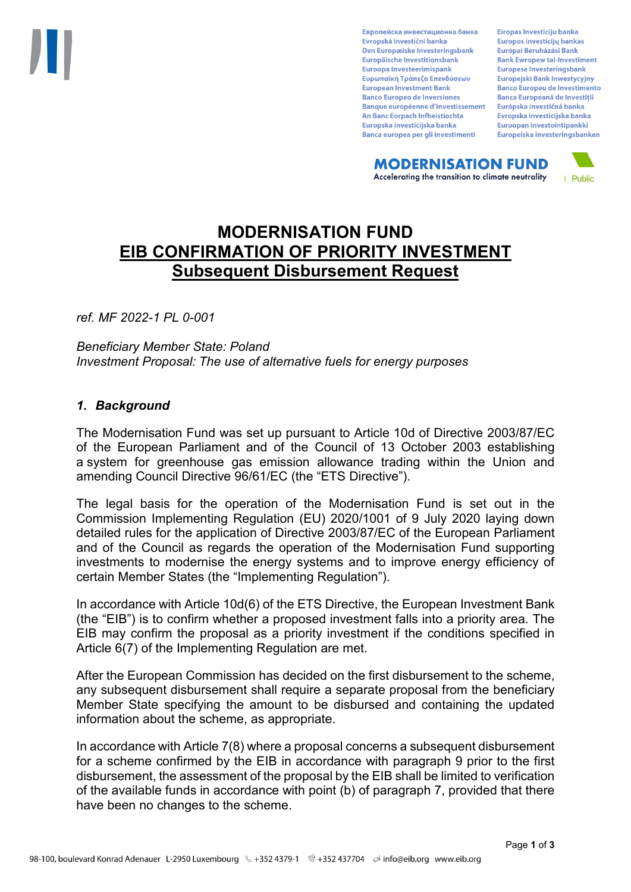Европейска инвестиционна банка Evropská investiční banka Den Europæiske Investeringsbank Europäische Investitionsbank Euroopa Investeerimispank Ευρωπαϊκή Τράπεζα Επενδύσεων **European Investment Bank Banco Europeo de Inversiones Banque européenne d'investissement** An Banc Eorpach Infheistíochta Europska investicijska banka Banca europea per gli investimenti

Eiropas Investīciju banka Europos investicijų bankas Európai Beruházási Bank **Bank Ewropew tal-Investiment** Europese Investeringsbank **Europeiski Bank Inwestycviny Banco Europeu de Investimento Banca Europeană de Investiții** Európska investičná banka Evropska investicijska banka Euroopan investointipankki Europeiska investeringsbanken

**MODERNISATION FUND** Accelerating the transition to climate neutrality



# **MODERNISATION FUND EIB CONFIRMATION OF PRIORITY INVESTMENT Subsequent Disbursement Request**

*ref. MF 2022-1 PL 0-001*

*Beneficiary Member State: Poland Investment Proposal: The use of alternative fuels for energy purposes*

# *1. Background*

The Modernisation Fund was set up pursuant to Article 10d of Directive 2003/87/EC of the European Parliament and of the Council of 13 October 2003 establishing a system for greenhouse gas emission allowance trading within the Union and amending Council Directive 96/61/EC (the "ETS Directive").

The legal basis for the operation of the Modernisation Fund is set out in the Commission Implementing Regulation (EU) 2020/1001 of 9 July 2020 laying down detailed rules for the application of Directive 2003/87/EC of the European Parliament and of the Council as regards the operation of the Modernisation Fund supporting investments to modernise the energy systems and to improve energy efficiency of certain Member States (the "Implementing Regulation").

In accordance with Article 10d(6) of the ETS Directive, the European Investment Bank (the "EIB") is to confirm whether a proposed investment falls into a priority area. The EIB may confirm the proposal as a priority investment if the conditions specified in Article 6(7) of the Implementing Regulation are met.

After the European Commission has decided on the first disbursement to the scheme, any subsequent disbursement shall require a separate proposal from the beneficiary Member State specifying the amount to be disbursed and containing the updated information about the scheme, as appropriate.

In accordance with Article 7(8) where a proposal concerns a subsequent disbursement for a scheme confirmed by the EIB in accordance with paragraph 9 prior to the first disbursement, the assessment of the proposal by the EIB shall be limited to verification of the available funds in accordance with point (b) of paragraph 7, provided that there have been no changes to the scheme.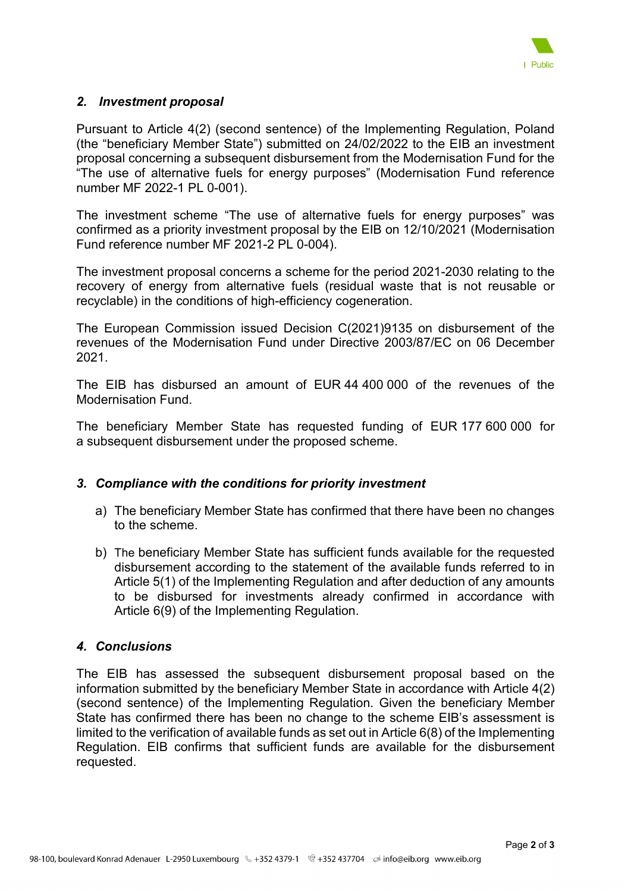

# *2. Investment proposal*

Pursuant to Article 4(2) (second sentence) of the Implementing Regulation, Poland (the "beneficiary Member State") submitted on 24/02/2022 to the EIB an investment proposal concerning a subsequent disbursement from the Modernisation Fund for the "The use of alternative fuels for energy purposes" (Modernisation Fund reference number MF 2022-1 PL 0-001).

The investment scheme "The use of alternative fuels for energy purposes" was confirmed as a priority investment proposal by the EIB on 12/10/2021 (Modernisation Fund reference number MF 2021-2 PL 0-004).

The investment proposal concerns a scheme for the period 2021-2030 relating to the recovery of energy from alternative fuels (residual waste that is not reusable or recyclable) in the conditions of high-efficiency cogeneration.

The European Commission issued Decision C(2021)9135 on disbursement of the revenues of the Modernisation Fund under Directive 2003/87/EC on 06 December 2021.

The EIB has disbursed an amount of EUR 44 400 000 of the revenues of the Modernisation Fund.

The beneficiary Member State has requested funding of EUR 177 600 000 for a subsequent disbursement under the proposed scheme.

# *3. Compliance with the conditions for priority investment*

- a) The beneficiary Member State has confirmed that there have been no changes to the scheme.
- b) The beneficiary Member State has sufficient funds available for the requested disbursement according to the statement of the available funds referred to in Article 5(1) of the Implementing Regulation and after deduction of any amounts to be disbursed for investments already confirmed in accordance with Article 6(9) of the Implementing Regulation.

# *4. Conclusions*

The EIB has assessed the subsequent disbursement proposal based on the information submitted by the beneficiary Member State in accordance with Article 4(2) (second sentence) of the Implementing Regulation. Given the beneficiary Member State has confirmed there has been no change to the scheme EIB's assessment is limited to the verification of available funds as set out in Article 6(8) of the Implementing Regulation. EIB confirms that sufficient funds are available for the disbursement requested.